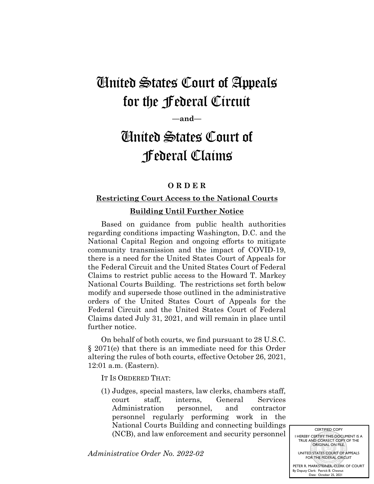## United States Court of Appeals for the Federal Circuit

**—and—**

## United States Court of Federal Claims

## **O R D E R**

## **Restricting Court Access to the National Courts Building Until Further Notice**

Based on guidance from public health authorities regarding conditions impacting Washington, D.C. and the National Capital Region and ongoing efforts to mitigate community transmission and the impact of COVID-19, there is a need for the United States Court of Appeals for the Federal Circuit and the United States Court of Federal Claims to restrict public access to the Howard T. Markey National Courts Building. The restrictions set forth below modify and supersede those outlined in the administrative orders of the United States Court of Appeals for the Federal Circuit and the United States Court of Federal Claims dated July 31, 2021, and will remain in place until further notice.

On behalf of both courts, we find pursuant to 28 U.S.C. § 2071(e) that there is an immediate need for this Order altering the rules of both courts, effective October 26, 2021, 12:01 a.m. (Eastern).

IT IS ORDERED THAT:

(1) Judges, special masters, law clerks, chambers staff, court staff, interns, General Services Administration personnel, and contractor personnel regularly performing work in the National Courts Building and connecting buildings (NCB), and law enforcement and security personnel

*Administrative Order No. 2022-02*

CERTIFIED COPY I HEREBY CERTIFY THIS DOCUMENT IS A TRUE AND CORRECT COPY OF THE ORIGINAL ON FILE. UNITED STATES COURT OF APPEALS FOR THE FEDERAL CIRCUIT

PETER R. MARKSTEINER, CLERK OF COURT By Deputy Clerk: Date: Patrick B. Chesnut October 25, 2021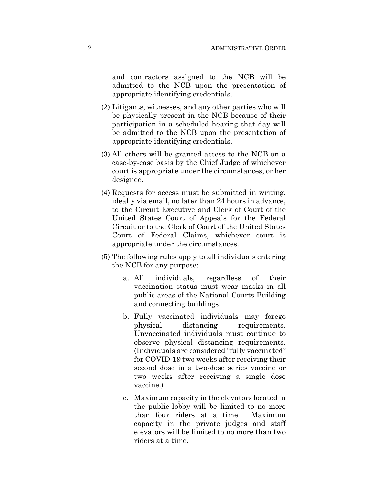and contractors assigned to the NCB will be admitted to the NCB upon the presentation of appropriate identifying credentials.

- (2) Litigants, witnesses, and any other parties who will be physically present in the NCB because of their participation in a scheduled hearing that day will be admitted to the NCB upon the presentation of appropriate identifying credentials.
- (3) All others will be granted access to the NCB on a case-by-case basis by the Chief Judge of whichever court is appropriate under the circumstances, or her designee.
- (4) Requests for access must be submitted in writing, ideally via email, no later than 24 hours in advance, to the Circuit Executive and Clerk of Court of the United States Court of Appeals for the Federal Circuit or to the Clerk of Court of the United States Court of Federal Claims, whichever court is appropriate under the circumstances.
- (5) The following rules apply to all individuals entering the NCB for any purpose:
	- a. All individuals, regardless of their vaccination status must wear masks in all public areas of the National Courts Building and connecting buildings.
	- b. Fully vaccinated individuals may forego physical distancing requirements. Unvaccinated individuals must continue to observe physical distancing requirements. (Individuals are considered "fully vaccinated" for COVID-19 two weeks after receiving their second dose in a two-dose series vaccine or two weeks after receiving a single dose vaccine.)
	- c. Maximum capacity in the elevators located in the public lobby will be limited to no more than four riders at a time. Maximum capacity in the private judges and staff elevators will be limited to no more than two riders at a time.